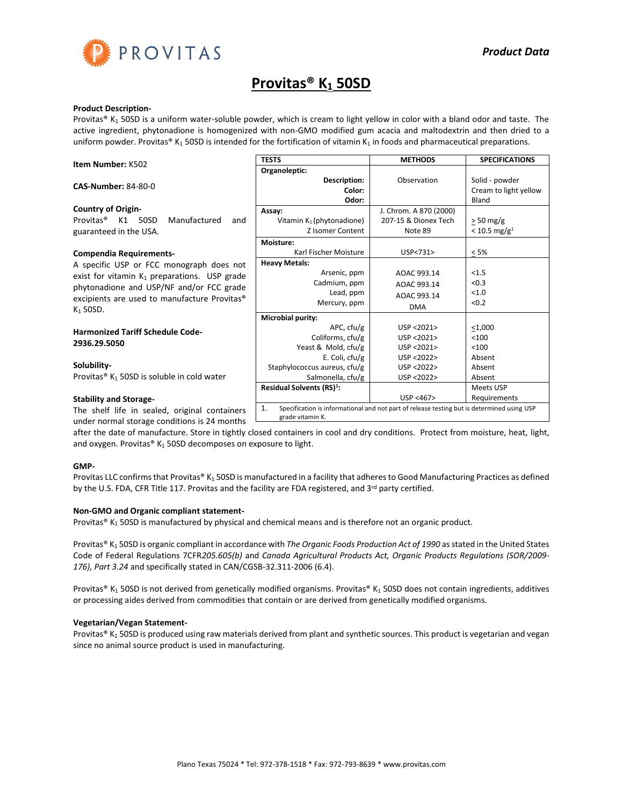

# **Provitas® K<sup>1</sup> 50SD**

#### **Product Description-**

Provitas® K<sub>1</sub> 50SD is a uniform water-soluble powder, which is cream to light yellow in color with a bland odor and taste. The active ingredient, phytonadione is homogenized with non-GMO modified gum acacia and maltodextrin and then dried to a uniform powder. Provitas® K<sub>1</sub> 50SD is intended for the fortification of vitamin K<sub>1</sub> in foods and pharmaceutical preparations.

| <b>Item Number: K502</b>                                                                                                                                                                            | <b>TESTS</b>                                                                                                   | <b>METHODS</b>                                                                                          | <b>SPECIFICATIONS</b>                            |
|-----------------------------------------------------------------------------------------------------------------------------------------------------------------------------------------------------|----------------------------------------------------------------------------------------------------------------|---------------------------------------------------------------------------------------------------------|--------------------------------------------------|
|                                                                                                                                                                                                     | Organoleptic:                                                                                                  |                                                                                                         |                                                  |
| <b>CAS-Number: 84-80-0</b>                                                                                                                                                                          | Description:<br>Color:<br>Odor:                                                                                | Observation                                                                                             | Solid - powder<br>Cream to light yellow<br>Bland |
| <b>Country of Origin-</b>                                                                                                                                                                           | Assay:                                                                                                         | J. Chrom. A 870 (2000)                                                                                  |                                                  |
| Provitas®<br>50SD<br>Manufactured<br>K1<br>and<br>guaranteed in the USA.                                                                                                                            | Vitamin $K_1$ (phytonadione)<br>Z Isomer Content                                                               | 207-15 & Dionex Tech<br>Note 89                                                                         | $> 50$ mg/g<br>$< 10.5$ mg/g <sup>1</sup>        |
|                                                                                                                                                                                                     | Moisture:                                                                                                      |                                                                                                         |                                                  |
| <b>Compendia Requirements-</b>                                                                                                                                                                      | Karl Fischer Moisture                                                                                          | USP<731>                                                                                                | < 5%                                             |
| A specific USP or FCC monograph does not<br>exist for vitamin $K_1$ preparations. USP grade<br>phytonadione and USP/NF and/or FCC grade<br>excipients are used to manufacture Provitas®<br>K1 50SD. | <b>Heavy Metals:</b><br>Arsenic, ppm<br>Cadmium, ppm<br>Lead, ppm<br>Mercury, ppm                              | AOAC 993.14<br>AOAC 993.14<br>AOAC 993.14<br><b>DMA</b>                                                 | < 1.5<br>< 0.3<br>< 1.0<br>< 0.2                 |
| <b>Harmonized Tariff Schedule Code-</b><br>2936.29.5050                                                                                                                                             | Microbial purity:<br>APC, cfu/g<br>Coliforms, cfu/g<br>Yeast & Mold, cfu/g                                     | USP < 2021<br>USP <2021><br>USP <2021>                                                                  | $<$ 1,000<br>< 100<br>< 100                      |
| Solubility-<br>Provitas® K <sub>1</sub> 50SD is soluble in cold water                                                                                                                               | E. Coli, $ctu/g$<br>Staphylococcus aureus, cfu/g<br>Salmonella, cfu/g<br>Residual Solvents (RS) <sup>1</sup> : | USP <2022><br>USP <2022><br>USP <2022>                                                                  | Absent<br>Absent<br>Absent<br>Meets USP          |
| <b>Stability and Storage-</b><br>The shelf life in sealed, original containers                                                                                                                      | 1.<br>arada vitanain K                                                                                         | USP < 467<br>Specification is informational and not part of release testing but is determined using USP | Requirements                                     |

under normal storage conditions is 24 months grade vitamin K.

after the date of manufacture. Store in tightly closed containers in cool and dry conditions. Protect from moisture, heat, light, and oxygen. Provitas®  $K_1$  50SD decomposes on exposure to light.

## **GMP-**

Provitas LLC confirms that Provitas® K<sub>1</sub> 50SD is manufactured in a facility that adheres to Good Manufacturing Practices as defined by the U.S. FDA, CFR Title 117. Provitas and the facility are FDA registered, and 3<sup>rd</sup> party certified.

## **Non-GMO and Organic compliant statement-**

Provitas®  $K_1$  50SD is manufactured by physical and chemical means and is therefore not an organic product.

Provitas® K<sub>1</sub> 50SD is organic compliant in accordance with *The Organic Foods Production Act of 1990* as stated in the United States Code of Federal Regulations 7CFR*205.605(b)* and *Canada Agricultural Products Act, Organic Products Regulations (SOR/2009- 176), Part 3.24* and specifically stated in CAN/CGSB-32.311-2006 (6.4).

Provitas® K<sub>1</sub> 50SD is not derived from genetically modified organisms. Provitas® K<sub>1</sub> 50SD does not contain ingredients, additives or processing aides derived from commodities that contain or are derived from genetically modified organisms.

#### **Vegetarian/Vegan Statement-**

Provitas® K<sub>1</sub> 50SD is produced using raw materials derived from plant and synthetic sources. This product is vegetarian and vegan since no animal source product is used in manufacturing.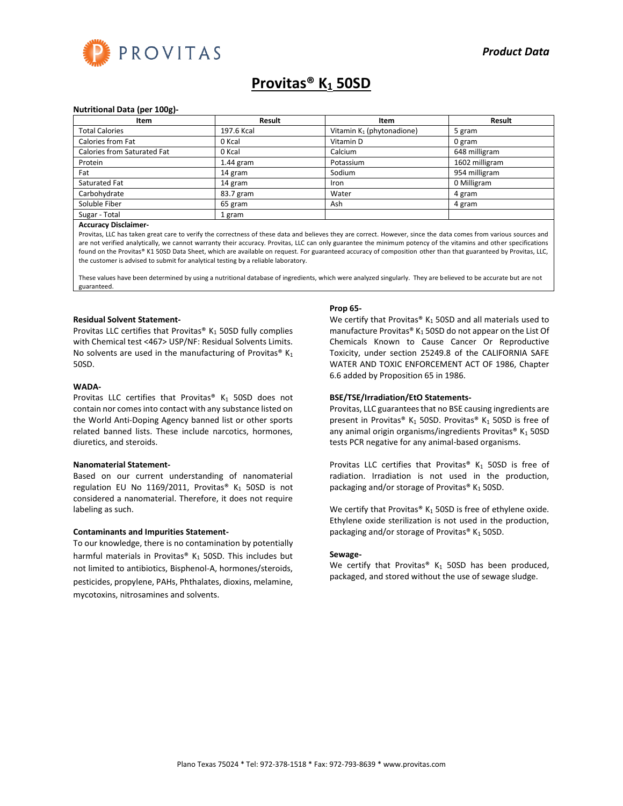

# **Provitas® K<sup>1</sup> 50SD**

#### **Nutritional Data (per 100g)-**

| Item                        | Result      | Item                         | Result         |
|-----------------------------|-------------|------------------------------|----------------|
| <b>Total Calories</b>       | 197.6 Kcal  | Vitamin $K_1$ (phytonadione) | 5 gram         |
| Calories from Fat           | 0 Kcal      | Vitamin D                    | 0 gram         |
| Calories from Saturated Fat | 0 Kcal      | Calcium                      | 648 milligram  |
| Protein                     | $1.44$ gram | Potassium                    | 1602 milligram |
| Fat                         | 14 gram     | Sodium                       | 954 milligram  |
| Saturated Fat               | 14 gram     | Iron                         | 0 Milligram    |
| Carbohydrate                | 83.7 gram   | Water                        | 4 gram         |
| Soluble Fiber               | 65 gram     | Ash                          | 4 gram         |
| Sugar - Total               | 1 gram      |                              |                |

#### **Accuracy Disclaimer-**

Provitas, LLC has taken great care to verify the correctness of these data and believes they are correct. However, since the data comes from various sources and are not verified analytically, we cannot warranty their accuracy. Provitas, LLC can only guarantee the minimum potency of the vitamins and other specifications found on the Provitas® K1 50SD Data Sheet, which are available on request. For guaranteed accuracy of composition other than that guaranteed by Provitas, LLC, the customer is advised to submit for analytical testing by a reliable laboratory.

These values have been determined by using a nutritional database of ingredients, which were analyzed singularly. They are believed to be accurate but are not guaranteed.

### **Residual Solvent Statement-**

Provitas LLC certifies that Provitas®  $K_1$  50SD fully complies with Chemical test <467> USP/NF: Residual Solvents Limits. No solvents are used in the manufacturing of Provitas®  $K_1$ 50SD.

#### **WADA-**

Provitas LLC certifies that Provitas®  $K_1$  50SD does not contain nor comes into contact with any substance listed on the World Anti-Doping Agency banned list or other sports related banned lists. These include narcotics, hormones, diuretics, and steroids.

#### **Nanomaterial Statement-**

Based on our current understanding of nanomaterial regulation EU No 1169/2011, Provitas®  $K_1$  50SD is not considered a nanomaterial. Therefore, it does not require labeling as such.

#### **Contaminants and Impurities Statement-**

To our knowledge, there is no contamination by potentially harmful materials in Provitas®  $K_1$  50SD. This includes but not limited to antibiotics, Bisphenol-A, hormones/steroids, pesticides, propylene, PAHs, Phthalates, dioxins, melamine, mycotoxins, nitrosamines and solvents.

#### **Prop 65-**

We certify that Provitas®  $K_1$  50SD and all materials used to manufacture Provitas®  $K_1$  50SD do not appear on the List Of Chemicals Known to Cause Cancer Or Reproductive Toxicity, under section 25249.8 of the CALIFORNIA SAFE WATER AND TOXIC ENFORCEMENT ACT OF 1986, Chapter 6.6 added by Proposition 65 in 1986.

# **BSE/TSE/Irradiation/EtO Statements-**

Provitas, LLC guarantees that no BSE causing ingredients are present in Provitas® K<sub>1</sub> 50SD. Provitas® K<sub>1</sub> 50SD is free of any animal origin organisms/ingredients Provitas®  $K_1$  50SD tests PCR negative for any animal-based organisms.

Provitas LLC certifies that Provitas®  $K_1$  50SD is free of radiation. Irradiation is not used in the production, packaging and/or storage of Provitas®  $K_1$  50SD.

We certify that Provitas®  $K_1$  50SD is free of ethylene oxide. Ethylene oxide sterilization is not used in the production, packaging and/or storage of Provitas® K<sub>1</sub> 50SD.

#### **Sewage-**

We certify that Provitas®  $K_1$  50SD has been produced, packaged, and stored without the use of sewage sludge.